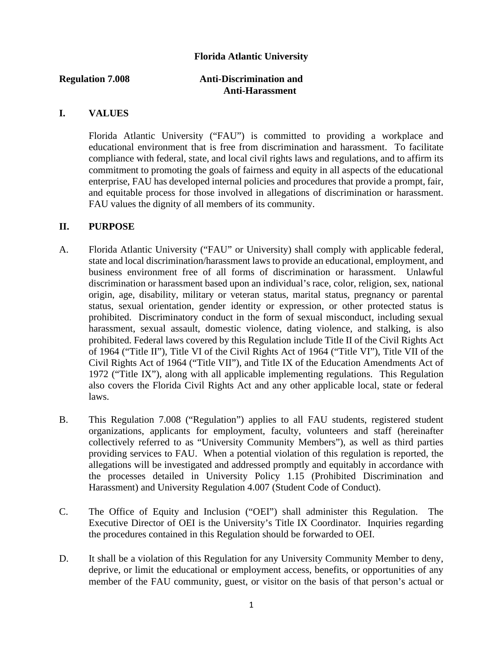# **Florida Atlantic University**

#### **Regulation 7.008 Anti-Discrimination and Anti-Harassment**

# **I. VALUES**

Florida Atlantic University ("FAU") is committed to providing a workplace and educational environment that is free from discrimination and harassment. To facilitate compliance with federal, state, and local civil rights laws and regulations, and to affirm its commitment to promoting the goals of fairness and equity in all aspects of the educational enterprise, FAU has developed internal policies and procedures that provide a prompt, fair, and equitable process for those involved in allegations of discrimination or harassment. FAU values the dignity of all members of its community.

#### **II. PURPOSE**

- A. Florida Atlantic University ("FAU" or University) shall comply with applicable federal, state and local discrimination/harassment laws to provide an educational, employment, and business environment free of all forms of discrimination or harassment. Unlawful discrimination or harassment based upon an individual's race, color, religion, sex, national origin, age, disability, military or veteran status, marital status, pregnancy or parental status, sexual orientation, gender identity or expression, or other protected status is prohibited. Discriminatory conduct in the form of sexual misconduct, including sexual harassment, sexual assault, domestic violence, dating violence, and stalking, is also prohibited. Federal laws covered by this Regulation include Title II of the Civil Rights Act of 1964 ("Title II"), Title VI of the Civil Rights Act of 1964 ("Title VI"), Title VII of the Civil Rights Act of 1964 ("Title VII"), and Title IX of the Education Amendments Act of 1972 ("Title IX"), along with all applicable implementing regulations. This Regulation also covers the Florida Civil Rights Act and any other applicable local, state or federal laws.
- B. This Regulation 7.008 ("Regulation") applies to all FAU students, registered student organizations, applicants for employment, faculty, volunteers and staff (hereinafter collectively referred to as "University Community Members"), as well as third parties providing services to FAU. When a potential violation of this regulation is reported, the allegations will be investigated and addressed promptly and equitably in accordance with the processes detailed in University Policy 1.15 (Prohibited Discrimination and Harassment) and University Regulation 4.007 (Student Code of Conduct).
- C. The Office of Equity and Inclusion ("OEI") shall administer this Regulation. The Executive Director of OEI is the University's Title IX Coordinator. Inquiries regarding the procedures contained in this Regulation should be forwarded to OEI.
- D. It shall be a violation of this Regulation for any University Community Member to deny, deprive, or limit the educational or employment access, benefits, or opportunities of any member of the FAU community, guest, or visitor on the basis of that person's actual or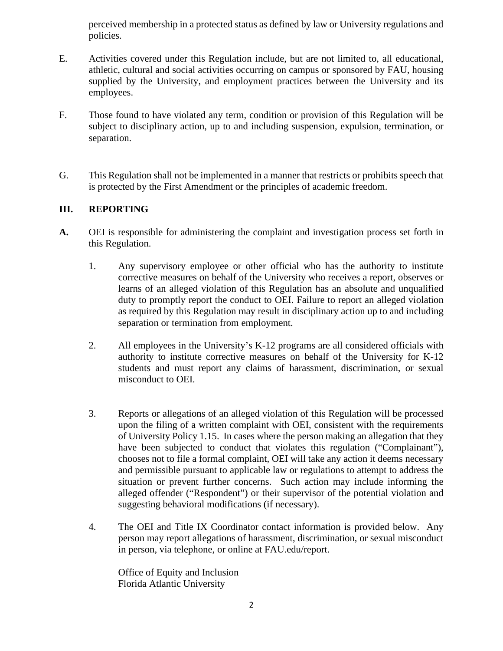perceived membership in a protected status as defined by law or University regulations and policies.

- E. Activities covered under this Regulation include, but are not limited to, all educational, athletic, cultural and social activities occurring on campus or sponsored by FAU, housing supplied by the University, and employment practices between the University and its employees.
- F. Those found to have violated any term, condition or provision of this Regulation will be subject to disciplinary action, up to and including suspension, expulsion, termination, or separation.
- G. This Regulation shall not be implemented in a manner that restricts or prohibits speech that is protected by the First Amendment or the principles of academic freedom.

# **III. REPORTING**

- **A.** OEI is responsible for administering the complaint and investigation process set forth in this Regulation.
	- 1. Any supervisory employee or other official who has the authority to institute corrective measures on behalf of the University who receives a report, observes or learns of an alleged violation of this Regulation has an absolute and unqualified duty to promptly report the conduct to OEI. Failure to report an alleged violation as required by this Regulation may result in disciplinary action up to and including separation or termination from employment.
	- 2. All employees in the University's K-12 programs are all considered officials with authority to institute corrective measures on behalf of the University for K-12 students and must report any claims of harassment, discrimination, or sexual misconduct to OEI.
	- 3. Reports or allegations of an alleged violation of this Regulation will be processed upon the filing of a written complaint with OEI, consistent with the requirements of University Policy 1.15. In cases where the person making an allegation that they have been subjected to conduct that violates this regulation ("Complainant"), chooses not to file a formal complaint, OEI will take any action it deems necessary and permissible pursuant to applicable law or regulations to attempt to address the situation or prevent further concerns. Such action may include informing the alleged offender ("Respondent") or their supervisor of the potential violation and suggesting behavioral modifications (if necessary).
	- 4. The OEI and Title IX Coordinator contact information is provided below. Any person may report allegations of harassment, discrimination, or sexual misconduct in person, via telephone, or online at FAU.edu/report.

Office of Equity and Inclusion Florida Atlantic University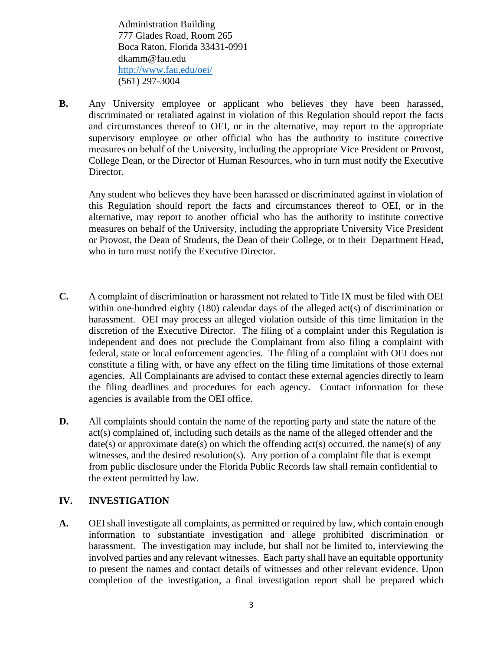Administration Building 777 Glades Road, Room 265 Boca Raton, Florida 33431-0991 dkamm@fau.edu <http://www.fau.edu/oei/> (561) 297-3004

**B.** Any University employee or applicant who believes they have been harassed, discriminated or retaliated against in violation of this Regulation should report the facts and circumstances thereof to OEI, or in the alternative, may report to the appropriate supervisory employee or other official who has the authority to institute corrective measures on behalf of the University, including the appropriate Vice President or Provost, College Dean, or the Director of Human Resources, who in turn must notify the Executive Director.

Any student who believes they have been harassed or discriminated against in violation of this Regulation should report the facts and circumstances thereof to OEI, or in the alternative, may report to another official who has the authority to institute corrective measures on behalf of the University, including the appropriate University Vice President or Provost, the Dean of Students, the Dean of their College, or to their Department Head, who in turn must notify the Executive Director.

- **C.** A complaint of discrimination or harassment not related to Title IX must be filed with OEI within one-hundred eighty (180) calendar days of the alleged act(s) of discrimination or harassment. OEI may process an alleged violation outside of this time limitation in the discretion of the Executive Director. The filing of a complaint under this Regulation is independent and does not preclude the Complainant from also filing a complaint with federal, state or local enforcement agencies. The filing of a complaint with OEI does not constitute a filing with, or have any effect on the filing time limitations of those external agencies. All Complainants are advised to contact these external agencies directly to learn the filing deadlines and procedures for each agency. Contact information for these agencies is available from the OEI office.
- **D.** All complaints should contain the name of the reporting party and state the nature of the act(s) complained of, including such details as the name of the alleged offender and the  $date(s)$  or approximate date(s) on which the offending act(s) occurred, the name(s) of any witnesses, and the desired resolution(s). Any portion of a complaint file that is exempt from public disclosure under the Florida Public Records law shall remain confidential to the extent permitted by law.

# **IV. INVESTIGATION**

**A.** OEIshall investigate all complaints, as permitted or required by law, which contain enough information to substantiate investigation and allege prohibited discrimination or harassment. The investigation may include, but shall not be limited to, interviewing the involved parties and any relevant witnesses. Each party shall have an equitable opportunity to present the names and contact details of witnesses and other relevant evidence. Upon completion of the investigation, a final investigation report shall be prepared which